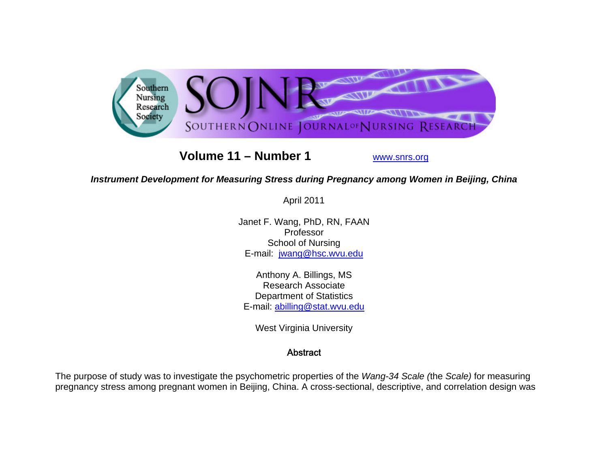

# **Volume 11 – Number 1**

www.snrs.org

# *Instrument Development for Measuring Stress during Pregnancy among Women in Beijing, China*

April 2011

Janet F. Wang, PhD, RN, FAAN Professor School of Nursing E-mail: jwang@hsc.wvu.edu

Anthony A. Billings, MS Research Associate Department of Statistics E-mail: abilling@stat.wvu.edu

West Virginia University

## **Abstract**

The purpose of study was to investigate the psychometric properties of the *Wang-34 Scale (*the *Scale)* for measuring pregnancy stress among pregnant women in Beijing, China. A cross-sectional, descriptive, and correlation design was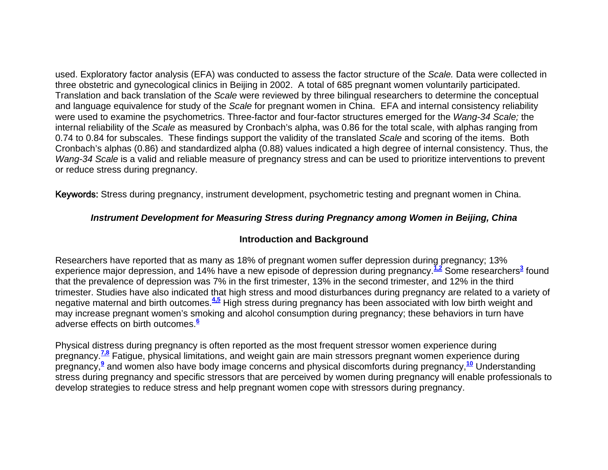used. Exploratory factor analysis (EFA) was conducted to assess the factor structure of the *Scale.* Data were collected in three obstetric and gynecological clinics in Beijing in 2002. A total of 685 pregnant women voluntarily participated. Translation and back translation of the *Scale* were reviewed by three bilingual researchers to determine the conceptual and language equivalence for study of the *Scale* for pregnant women in China. EFA and internal consistency reliability were used to examine the psychometrics. Three-factor and four-factor structures emerged for the *Wang-34 Scale;* the internal reliability of the *Scale* as measured by Cronbach's alpha, was 0.86 for the total scale, with alphas ranging from 0.74 to 0.84 for subscales. These findings support the validity of the translated *Scale* and scoring of the items. Both Cronbach's alphas (0.86) and standardized alpha (0.88) values indicated a high degree of internal consistency. Thus, the *Wang-34 Scale* is a valid and reliable measure of pregnancy stress and can be used to prioritize interventions to prevent or reduce stress during pregnancy.

Keywords: Stress during pregnancy, instrument development, psychometric testing and pregnant women in China.

## *Instrument Development for Measuring Stress during Pregnancy among Women in Beijing, China*

#### **Introduction and Background**

Researchers have reported that as many as 18% of pregnant women suffer depression during pregnancy; 13% experience major depression, and 14% have a new episode of depression during pregnancy.**1,2** Some researchers**<sup>3</sup>** found that the prevalence of depression was 7% in the first trimester, 13% in the second trimester, and 12% in the third trimester. Studies have also indicated that high stress and mood disturbances during pregnancy are related to a variety of negative maternal and birth outcomes.**4,5** High stress during pregnancy has been associated with low birth weight and may increase pregnant women's smoking and alcohol consumption during pregnancy; these behaviors in turn have adverse effects on birth outcomes.**<sup>6</sup>**

Physical distress during pregnancy is often reported as the most frequent stressor women experience during pregnancy.**7,8** Fatigue, physical limitations, and weight gain are main stressors pregnant women experience during pregnancy,**<sup>9</sup>** and women also have body image concerns and physical discomforts during pregnancy,**<sup>10</sup>** Understanding stress during pregnancy and specific stressors that are perceived by women during pregnancy will enable professionals to develop strategies to reduce stress and help pregnant women cope with stressors during pregnancy.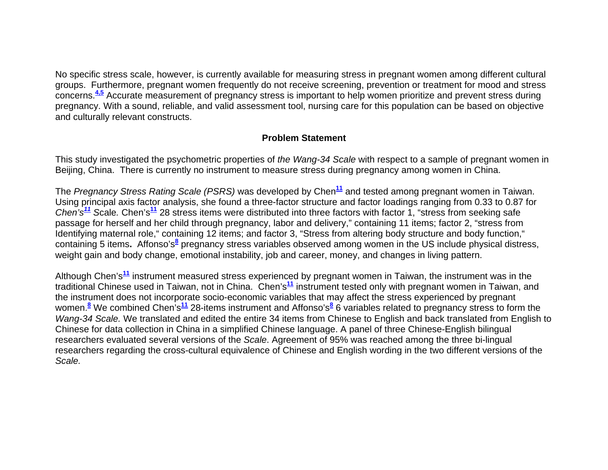No specific stress scale, however, is currently available for measuring stress in pregnant women among different cultural groups. Furthermore, pregnant women frequently do not receive screening, prevention or treatment for mood and stress concerns.**4,5** Accurate measurement of pregnancy stress is important to help women prioritize and prevent stress during pregnancy. With a sound, reliable, and valid assessment tool, nursing care for this population can be based on objective and culturally relevant constructs.

### **Problem Statement**

This study investigated the psychometric properties of *the Wang-34 Scale* with respect to a sample of pregnant women in Beijing, China. There is currently no instrument to measure stress during pregnancy among women in China.

The *Pregnancy Stress Rating Scale (PSRS)* was developed by Chen**<sup>11</sup>** and tested among pregnant women in Taiwan. Using principal axis factor analysis, she found a three-factor structure and factor loadings ranging from 0.33 to 0.87 for *Chen's<sup>11</sup> S*cale*.* Chen's**<sup>11</sup>** 28 stress items were distributed into three factors with factor 1, "stress from seeking safe passage for herself and her child through pregnancy, labor and delivery," containing 11 items; factor 2, "stress from Identifying maternal role," containing 12 items; and factor 3, "Stress from altering body structure and body function," containing 5 items**.** Affonso's**<sup>8</sup>** pregnancy stress variables observed among women in the US include physical distress, weight gain and body change, emotional instability, job and career, money, and changes in living pattern.

Although Chen's**<sup>11</sup>** instrument measured stress experienced by pregnant women in Taiwan, the instrument was in the traditional Chinese used in Taiwan, not in China. Chen's**<sup>11</sup>** instrument tested only with pregnant women in Taiwan, and the instrument does not incorporate socio-economic variables that may affect the stress experienced by pregnant women.**<sup>8</sup>** We combined Chen's**<sup>11</sup>** 28-items instrument and Affonso's**<sup>8</sup>** 6 variables related to pregnancy stress to form the *Wang-34 Scale.* We translated and edited the entire 34 items from Chinese to English and back translated from English to Chinese for data collection in China in a simplified Chinese language. A panel of three Chinese-English bilingual researchers evaluated several versions of the *Scale*. Agreement of 95% was reached among the three bi-lingual researchers regarding the cross-cultural equivalence of Chinese and English wording in the two different versions of the *Scale.*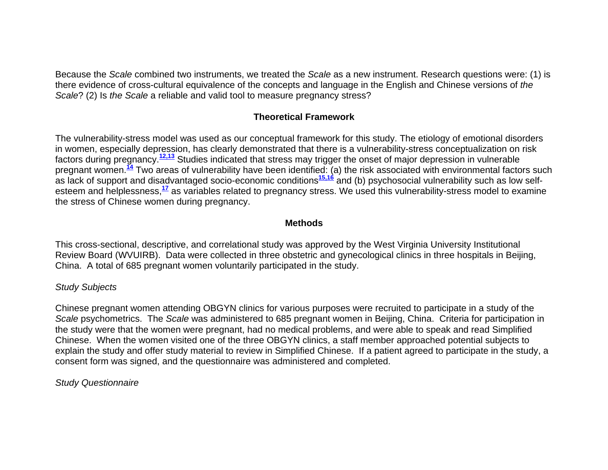Because the *Scale* combined two instruments, we treated the *Scale* as a new instrument. Research questions were: (1) is there evidence of cross-cultural equivalence of the concepts and language in the English and Chinese versions of *the Scale*? (2) Is *the Scale* a reliable and valid tool to measure pregnancy stress?

## **Theoretical Framework**

The vulnerability-stress model was used as our conceptual framework for this study. The etiology of emotional disorders in women, especially depression, has clearly demonstrated that there is a vulnerability-stress conceptualization on risk factors during pregnancy.**12,13** Studies indicated that stress may trigger the onset of major depression in vulnerable pregnant women.**<sup>14</sup>** Two areas of vulnerability have been identified: (a) the risk associated with environmental factors such as lack of support and disadvantaged socio-economic conditions<sup>15,16</sup> and (b) psychosocial vulnerability such as low selfesteem and helplessness,**<sup>17</sup>** as variables related to pregnancy stress. We used this vulnerability-stress model to examine the stress of Chinese women during pregnancy.

#### **Methods**

This cross-sectional, descriptive, and correlational study was approved by the West Virginia University Institutional Review Board (WVUIRB). Data were collected in three obstetric and gynecological clinics in three hospitals in Beijing, China. A total of 685 pregnant women voluntarily participated in the study.

#### *Study Subjects*

Chinese pregnant women attending OBGYN clinics for various purposes were recruited to participate in a study of the *Scale* psychometrics. The *Scale* was administered to 685 pregnant women in Beijing, China. Criteria for participation in the study were that the women were pregnant, had no medical problems, and were able to speak and read Simplified Chinese. When the women visited one of the three OBGYN clinics, a staff member approached potential subjects to explain the study and offer study material to review in Simplified Chinese. If a patient agreed to participate in the study, a consent form was signed, and the questionnaire was administered and completed.

#### *Study Questionnaire*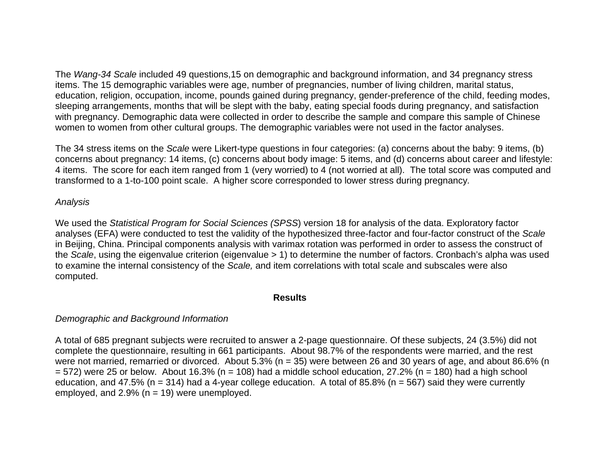The *Wang-34 Scale* included 49 questions,15 on demographic and background information, and 34 pregnancy stress items. The 15 demographic variables were age, number of pregnancies, number of living children, marital status, education, religion, occupation, income, pounds gained during pregnancy, gender-preference of the child, feeding modes, sleeping arrangements, months that will be slept with the baby, eating special foods during pregnancy, and satisfaction with pregnancy. Demographic data were collected in order to describe the sample and compare this sample of Chinese women to women from other cultural groups. The demographic variables were not used in the factor analyses.

The 34 stress items on the *Scale* were Likert-type questions in four categories: (a) concerns about the baby: 9 items, (b) concerns about pregnancy: 14 items, (c) concerns about body image: 5 items, and (d) concerns about career and lifestyle: 4 items. The score for each item ranged from 1 (very worried) to 4 (not worried at all). The total score was computed and transformed to a 1-to-100 point scale. A higher score corresponded to lower stress during pregnancy*.* 

#### *Analysis*

We used the *Statistical Program for Social Sciences (SPSS*) version 18 for analysis of the data. Exploratory factor analyses (EFA) were conducted to test the validity of the hypothesized three-factor and four-factor construct of the *Scale* in Beijing, China. Principal components analysis with varimax rotation was performed in order to assess the construct of the *Scale*, using the eigenvalue criterion (eigenvalue > 1) to determine the number of factors. Cronbach's alpha was used to examine the internal consistency of the *Scale,* and item correlations with total scale and subscales were also computed.

#### **Results**

## *Demographic and Background Information*

A total of 685 pregnant subjects were recruited to answer a 2-page questionnaire. Of these subjects, 24 (3.5%) did not complete the questionnaire, resulting in 661 participants. About 98.7% of the respondents were married, and the rest were not married, remarried or divorced. About 5.3% (n = 35) were between 26 and 30 years of age, and about 86.6% (n  $= 572$ ) were 25 or below. About 16.3% (n = 108) had a middle school education, 27.2% (n = 180) had a high school education, and 47.5% (n = 314) had a 4-year college education. A total of 85.8% (n = 567) said they were currently employed, and  $2.9\%$  (n = 19) were unemployed.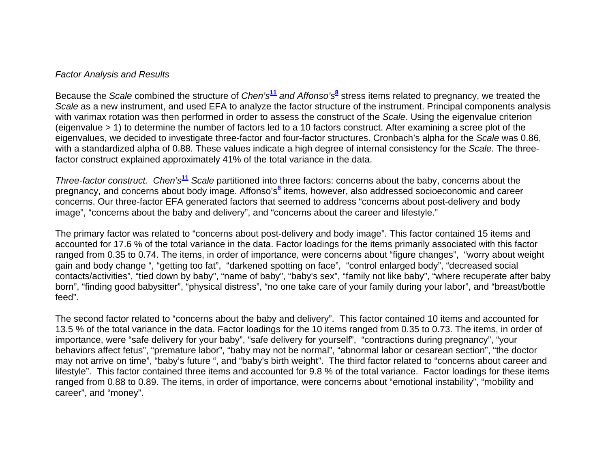#### *Factor Analysis and Results*

Because the *Scale* combined the structure of *Chen's***<sup>11</sup>** *and Affonso's***<sup>8</sup>** stress items related to pregnancy, we treated the *Scale* as a new instrument, and used EFA to analyze the factor structure of the instrument. Principal components analysis with varimax rotation was then performed in order to assess the construct of the *Scale*. Using the eigenvalue criterion (eigenvalue > 1) to determine the number of factors led to a 10 factors construct. After examining a scree plot of the eigenvalues, we decided to investigate three-factor and four-factor structures. Cronbach's alpha for the *Scale* was 0.86, with a standardized alpha of 0.88. These values indicate a high degree of internal consistency for the *Scale*. The threefactor construct explained approximately 41% of the total variance in the data.

*Three-factor construct. Chen's***<sup>11</sup>** *Scale* partitioned into three factors: concerns about the baby, concerns about the pregnancy, and concerns about body image. Affonso's**<sup>8</sup>** items, however, also addressed socioeconomic and career concerns. Our three-factor EFA generated factors that seemed to address "concerns about post-delivery and body image", "concerns about the baby and delivery", and "concerns about the career and lifestyle."

The primary factor was related to "concerns about post-delivery and body image". This factor contained 15 items and accounted for 17.6 % of the total variance in the data. Factor loadings for the items primarily associated with this factor ranged from 0.35 to 0.74. The items, in order of importance, were concerns about "figure changes", "worry about weight gain and body change ", "getting too fat", "darkened spotting on face", "control enlarged body", "decreased social contacts/activities", "tied down by baby", "name of baby", "baby's sex", "family not like baby", "where recuperate after baby born", "finding good babysitter", "physical distress", "no one take care of your family during your labor", and "breast/bottle feed".

The second factor related to "concerns about the baby and delivery". This factor contained 10 items and accounted for 13.5 % of the total variance in the data. Factor loadings for the 10 items ranged from 0.35 to 0.73. The items, in order of importance, were "safe delivery for your baby", "safe delivery for yourself", "contractions during pregnancy", "your behaviors affect fetus", "premature labor", "baby may not be normal", "abnormal labor or cesarean section", "the doctor may not arrive on time", "baby's future ", and "baby's birth weight". The third factor related to "concerns about career and lifestyle". This factor contained three items and accounted for 9.8 % of the total variance. Factor loadings for these items ranged from 0.88 to 0.89. The items, in order of importance, were concerns about "emotional instability", "mobility and career", and "money".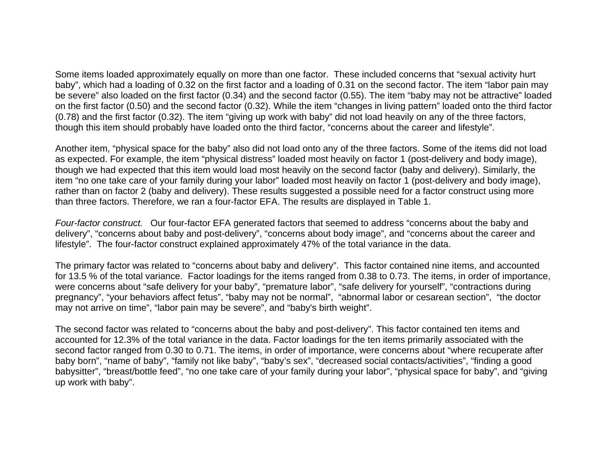Some items loaded approximately equally on more than one factor. These included concerns that "sexual activity hurt baby", which had a loading of 0.32 on the first factor and a loading of 0.31 on the second factor. The item "labor pain may be severe" also loaded on the first factor (0.34) and the second factor (0.55). The item "baby may not be attractive" loaded on the first factor (0.50) and the second factor (0.32). While the item "changes in living pattern" loaded onto the third factor (0.78) and the first factor (0.32). The item "giving up work with baby" did not load heavily on any of the three factors, though this item should probably have loaded onto the third factor, "concerns about the career and lifestyle".

Another item, "physical space for the baby" also did not load onto any of the three factors. Some of the items did not load as expected. For example, the item "physical distress" loaded most heavily on factor 1 (post-delivery and body image), though we had expected that this item would load most heavily on the second factor (baby and delivery). Similarly, the item "no one take care of your family during your labor" loaded most heavily on factor 1 (post-delivery and body image), rather than on factor 2 (baby and delivery). These results suggested a possible need for a factor construct using more than three factors. Therefore, we ran a four-factor EFA. The results are displayed in Table 1.

*Four-factor construct.* Our four-factor EFA generated factors that seemed to address "concerns about the baby and delivery", "concerns about baby and post-delivery", "concerns about body image", and "concerns about the career and lifestyle". The four-factor construct explained approximately 47% of the total variance in the data.

The primary factor was related to "concerns about baby and delivery". This factor contained nine items, and accounted for 13.5 % of the total variance. Factor loadings for the items ranged from 0.38 to 0.73. The items, in order of importance, were concerns about "safe delivery for your baby", "premature labor", "safe delivery for yourself", "contractions during pregnancy", "your behaviors affect fetus", "baby may not be normal", "abnormal labor or cesarean section", "the doctor may not arrive on time", "labor pain may be severe", and "baby's birth weight".

The second factor was related to "concerns about the baby and post-delivery". This factor contained ten items and accounted for 12.3% of the total variance in the data. Factor loadings for the ten items primarily associated with the second factor ranged from 0.30 to 0.71. The items, in order of importance, were concerns about "where recuperate after baby born", "name of baby", "family not like baby", "baby's sex", "decreased social contacts/activities", "finding a good babysitter", "breast/bottle feed", "no one take care of your family during your labor", "physical space for baby", and "giving up work with baby".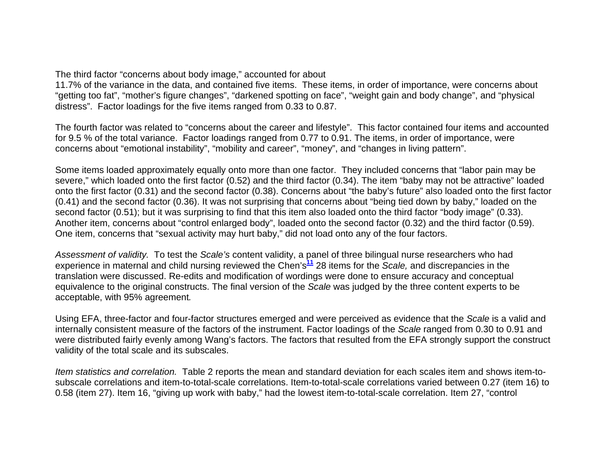The third factor "concerns about body image," accounted for about

11.7% of the variance in the data, and contained five items. These items, in order of importance, were concerns about "getting too fat", "mother's figure changes", "darkened spotting on face", "weight gain and body change", and "physical distress". Factor loadings for the five items ranged from 0.33 to 0.87.

The fourth factor was related to "concerns about the career and lifestyle". This factor contained four items and accounted for 9.5 % of the total variance. Factor loadings ranged from 0.77 to 0.91. The items, in order of importance, were concerns about "emotional instability", "mobility and career", "money", and "changes in living pattern".

Some items loaded approximately equally onto more than one factor. They included concerns that "labor pain may be severe," which loaded onto the first factor (0.52) and the third factor (0.34). The item "baby may not be attractive" loaded onto the first factor (0.31) and the second factor (0.38). Concerns about "the baby's future" also loaded onto the first factor (0.41) and the second factor (0.36). It was not surprising that concerns about "being tied down by baby," loaded on the second factor (0.51); but it was surprising to find that this item also loaded onto the third factor "body image" (0.33). Another item, concerns about "control enlarged body", loaded onto the second factor (0.32) and the third factor (0.59). One item, concerns that "sexual activity may hurt baby," did not load onto any of the four factors.

*Assessment of validity.* To test the *Scale's* content validity, a panel of three bilingual nurse researchers who had experience in maternal and child nursing reviewed the Chen's**<sup>11</sup>** 28 items for the *Scale,* and discrepancies in the translation were discussed. Re-edits and modification of wordings were done to ensure accuracy and conceptual equivalence to the original constructs. The final version of the *Scale* was judged by the three content experts to be acceptable, with 95% agreement*.*

Using EFA, three-factor and four-factor structures emerged and were perceived as evidence that the *Scale* is a valid and internally consistent measure of the factors of the instrument. Factor loadings of the *Scale* ranged from 0.30 to 0.91 and were distributed fairly evenly among Wang's factors. The factors that resulted from the EFA strongly support the construct validity of the total scale and its subscales.

*Item statistics and correlation.* Table 2 reports the mean and standard deviation for each scales item and shows item-tosubscale correlations and item-to-total-scale correlations. Item-to-total-scale correlations varied between 0.27 (item 16) to 0.58 (item 27). Item 16, "giving up work with baby," had the lowest item-to-total-scale correlation. Item 27, "control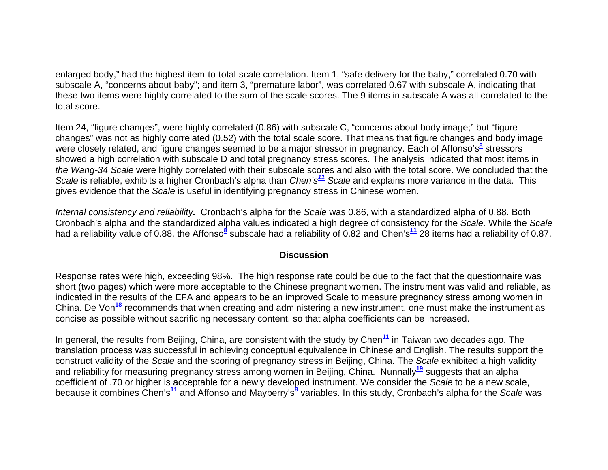enlarged body," had the highest item-to-total-scale correlation. Item 1, "safe delivery for the baby," correlated 0.70 with subscale A, "concerns about baby"; and item 3, "premature labor", was correlated 0.67 with subscale A, indicating that these two items were highly correlated to the sum of the scale scores. The 9 items in subscale A was all correlated to the total score.

Item 24, "figure changes", were highly correlated (0.86) with subscale C, "concerns about body image;" but "figure changes" was not as highly correlated (0.52) with the total scale score. That means that figure changes and body image were closely related, and figure changes seemed to be a major stressor in pregnancy. Each of Affonso's<sup>8</sup> stressors showed a high correlation with subscale D and total pregnancy stress scores. The analysis indicated that most items in *the Wang-34 Scale* were highly correlated with their subscale scores and also with the total score. We concluded that the *Scale* is reliable, exhibits a higher Cronbach's alpha than *Chen's<sup>11</sup> Scale* and explains more variance in the data. This gives evidence that the *Scale* is useful in identifying pregnancy stress in Chinese women.

*Internal consistency and reliability.* Cronbach's alpha for the *Scale* was 0.86, with a standardized alpha of 0.88. Both Cronbach's alpha and the standardized alpha values indicated a high degree of consistency for the *Scale.* While the *Scale* had a reliability value of 0.88, the Affonso<sup>8</sup> subscale had a reliability of 0.82 and Chen's<sup>11</sup> 28 items had a reliability of 0.87.

#### **Discussion**

Response rates were high, exceeding 98%. The high response rate could be due to the fact that the questionnaire was short (two pages) which were more acceptable to the Chinese pregnant women. The instrument was valid and reliable, as indicated in the results of the EFA and appears to be an improved Scale to measure pregnancy stress among women in China. De Von<sup>18</sup> recommends that when creating and administering a new instrument, one must make the instrument as concise as possible without sacrificing necessary content, so that alpha coefficients can be increased.

In general, the results from Beijing, China, are consistent with the study by Chen<sup>11</sup> in Taiwan two decades ago. The translation process was successful in achieving conceptual equivalence in Chinese and English. The results support the construct validity of the *Scale* and the scoring of pregnancy stress in Beijing, China. The *Scale* exhibited a high validity and reliability for measuring pregnancy stress among women in Beijing, China. Nunnally**<sup>19</sup>** suggests that an alpha coefficient of .70 or higher is acceptable for a newly developed instrument. We consider the *Scale* to be a new scale, because it combines Chen's**<sup>11</sup>** and Affonso and Mayberry's**<sup>8</sup>** variables. In this study, Cronbach's alpha for the *Scale* was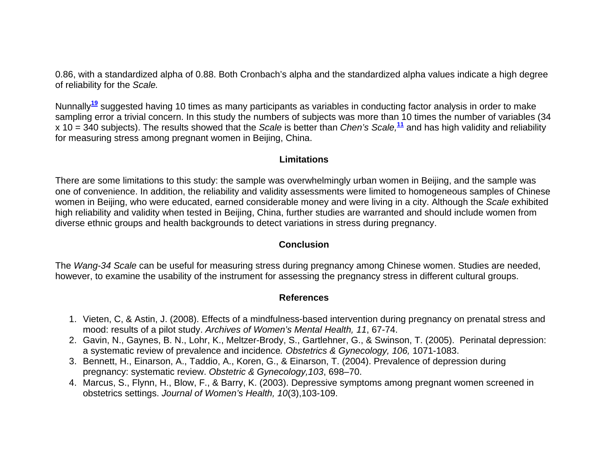0.86, with a standardized alpha of 0.88. Both Cronbach's alpha and the standardized alpha values indicate a high degree of reliability for the *Scale.*

Nunnally**<sup>19</sup>** suggested having 10 times as many participants as variables in conducting factor analysis in order to make sampling error a trivial concern. In this study the numbers of subjects was more than 10 times the number of variables (34 x 10 = 340 subjects). The results showed that the *Scale* is better than *Chen's Scale,***<sup>11</sup>** and has high validity and reliability for measuring stress among pregnant women in Beijing, China.

#### **Limitations**

There are some limitations to this study: the sample was overwhelmingly urban women in Beijing, and the sample was one of convenience. In addition, the reliability and validity assessments were limited to homogeneous samples of Chinese women in Beijing, who were educated, earned considerable money and were living in a city. Although the *Scale* exhibited high reliability and validity when tested in Beijing, China, further studies are warranted and should include women from diverse ethnic groups and health backgrounds to detect variations in stress during pregnancy.

#### **Conclusion**

The *Wang-34 Scale* can be useful for measuring stress during pregnancy among Chinese women. Studies are needed, however, to examine the usability of the instrument for assessing the pregnancy stress in different cultural groups.

## **References**

- 1. Vieten, C, & Astin, J. (2008). Effects of a mindfulness-based intervention during pregnancy on prenatal stress and mood: results of a pilot study. *Archives of Women's Mental Health, 11*, 67-74.
- 2. Gavin, N., Gaynes, B. N., Lohr, K., Meltzer-Brody, S., Gartlehner, G., & Swinson, T. (2005). Perinatal depression: a systematic review of prevalence and incidence*. Obstetrics & Gynecology, 106,* 1071-1083.
- 3. Bennett, H., Einarson, A., Taddio, A., Koren, G., & Einarson, T. (2004). Prevalence of depression during pregnancy: systematic review. *Obstetric & Gynecology,103*, 698–70.
- 4. Marcus, S., Flynn, H., Blow, F., & Barry, K. (2003). Depressive symptoms among pregnant women screened in obstetrics settings. *Journal of Women's Health, 10*(3),103-109.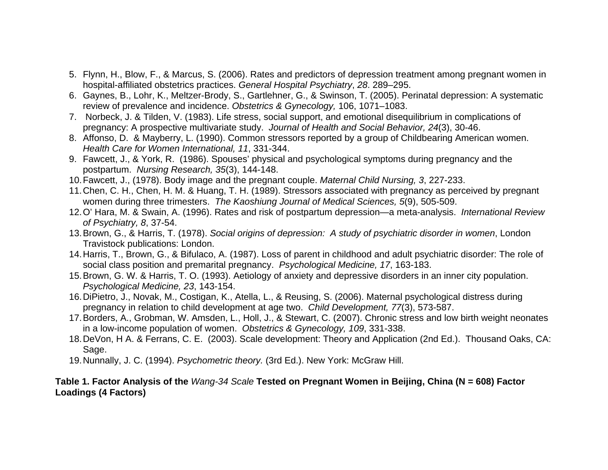- 5. Flynn, H., Blow, F., & Marcus, S. (2006). Rates and predictors of depression treatment among pregnant women in hospital-affiliated obstetrics practices. *General Hospital Psychiatry*, *28*. 289–295.
- 6. Gaynes, B., Lohr, K., Meltzer-Brody, S., Gartlehner, G., & Swinson, T. (2005). Perinatal depression: A systematic review of prevalence and incidence. *Obstetrics & Gynecology,* 106, 1071–1083.
- 7. Norbeck, J. & Tilden, V. (1983). Life stress, social support, and emotional disequilibrium in complications of pregnancy: A prospective multivariate study. *Journal of Health and Social Behavior, 24*(3), 30-46.
- 8. Affonso, D. & Mayberry, L. (1990). Common stressors reported by a group of Childbearing American women. *Health Care for Women International, 11*, 331-344.
- 9. Fawcett, J., & York, R. (1986). Spouses' physical and psychological symptoms during pregnancy and the postpartum. *Nursing Research, 35*(3), 144-148.
- 10. Fawcett, J., (1978). Body image and the pregnant couple. *Maternal Child Nursing, 3*, 227-233.
- 11. Chen, C. H., Chen, H. M. & Huang, T. H. (1989). Stressors associated with pregnancy as perceived by pregnant women during three trimesters. *The Kaoshiung Journal of Medical Sciences, 5*(9), 505-509.
- 12. O' Hara, M. & Swain, A. (1996). Rates and risk of postpartum depression—a meta-analysis. *International Review of Psychiatry, 8*, 37-54.
- 13. Brown, G., & Harris, T. (1978). *Social origins of depression: A study of psychiatric disorder in women*, London Travistock publications: London.
- 14. Harris, T., Brown, G., & Bifulaco, A. (1987). Loss of parent in childhood and adult psychiatric disorder: The role of social class position and premarital pregnancy. *Psychological Medicine, 17*, 163-183.
- 15. Brown, G. W. & Harris, T. O. (1993). Aetiology of anxiety and depressive disorders in an inner city population. *Psychological Medicine, 23*, 143-154.
- 16. DiPietro, J., Novak, M., Costigan, K., Atella, L., & Reusing, S. (2006). Maternal psychological distress during pregnancy in relation to child development at age two. *Child Development, 77*(3), 573-587.
- 17. Borders, A., Grobman, W. Amsden, L., Holl, J., & Stewart, C. (2007). Chronic stress and low birth weight neonates in a low-income population of women. *Obstetrics & Gynecology, 109*, 331-338.
- 18. DeVon, H A. & Ferrans, C. E. (2003). Scale development: Theory and Application (2nd Ed.). Thousand Oaks, CA: Sage.
- 19. Nunnally, J. C. (1994). *Psychometric theory.* (3rd Ed.). New York: McGraw Hill.

#### **Table 1. Factor Analysis of the** *Wang-34 Scale* **Tested on Pregnant Women in Beijing, China (N = 608) Factor Loadings (4 Factors)**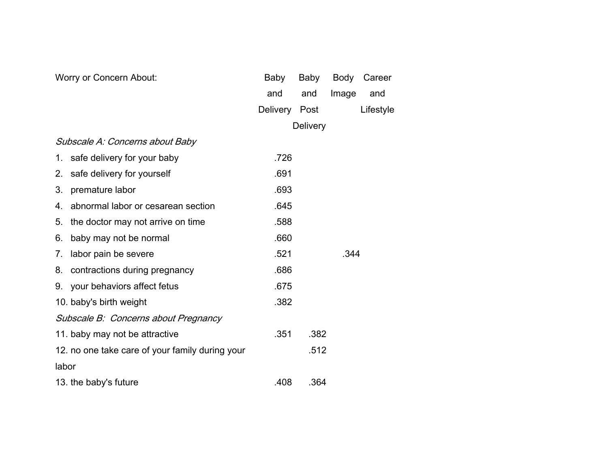| Worry or Concern About:                         | Baby          | Baby            | Body      | Career |
|-------------------------------------------------|---------------|-----------------|-----------|--------|
|                                                 | and           | and             | Image     | and    |
|                                                 | Delivery Post |                 | Lifestyle |        |
|                                                 |               | <b>Delivery</b> |           |        |
| Subscale A: Concerns about Baby                 |               |                 |           |        |
| safe delivery for your baby<br>1.               | .726          |                 |           |        |
| safe delivery for yourself<br>2.                | .691          |                 |           |        |
| 3.<br>premature labor                           | .693          |                 |           |        |
| abnormal labor or cesarean section<br>4.        | .645          |                 |           |        |
| the doctor may not arrive on time<br>5.         | .588          |                 |           |        |
| baby may not be normal<br>6.                    | .660          |                 |           |        |
| labor pain be severe<br>7.                      | .521<br>.344  |                 |           |        |
| contractions during pregnancy<br>8.             | .686          |                 |           |        |
| your behaviors affect fetus<br>9.               | .675          |                 |           |        |
| 10. baby's birth weight                         | .382          |                 |           |        |
| Subscale B: Concerns about Pregnancy            |               |                 |           |        |
| 11. baby may not be attractive                  | .351          | .382            |           |        |
| 12. no one take care of your family during your |               | .512            |           |        |
| labor                                           |               |                 |           |        |
| 13. the baby's future                           | .408          | .364            |           |        |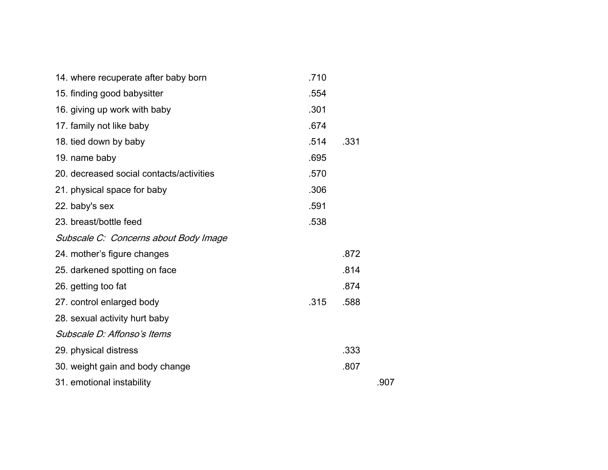| 14. where recuperate after baby born     | .710 |      |      |
|------------------------------------------|------|------|------|
| 15. finding good babysitter              | .554 |      |      |
| 16. giving up work with baby             | .301 |      |      |
| 17. family not like baby                 | .674 |      |      |
| 18. tied down by baby                    | .514 | .331 |      |
| 19. name baby                            | .695 |      |      |
| 20. decreased social contacts/activities | .570 |      |      |
| 21. physical space for baby              | .306 |      |      |
| 22. baby's sex                           | .591 |      |      |
| 23. breast/bottle feed                   | .538 |      |      |
| Subscale C: Concerns about Body Image    |      |      |      |
| 24. mother's figure changes              |      | .872 |      |
| 25. darkened spotting on face            |      | .814 |      |
| 26. getting too fat                      |      | .874 |      |
| 27. control enlarged body                | .315 | .588 |      |
| 28. sexual activity hurt baby            |      |      |      |
| Subscale D: Affonso's Items              |      |      |      |
| 29. physical distress                    |      | .333 |      |
| 30. weight gain and body change          |      | .807 |      |
| 31. emotional instability                |      |      | .907 |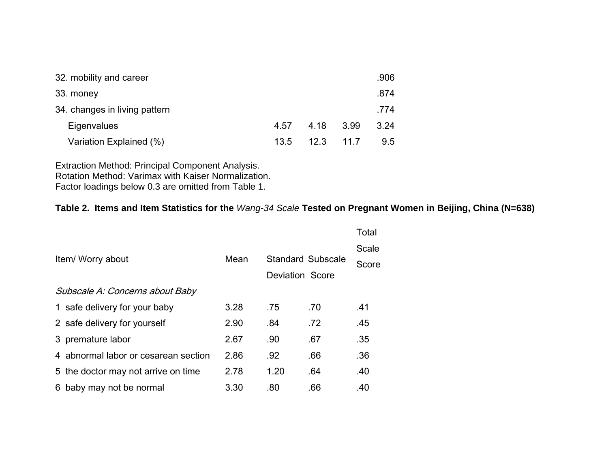| 32. mobility and career       |      |      |      | .906          |
|-------------------------------|------|------|------|---------------|
| 33. money                     |      |      |      | .874          |
| 34. changes in living pattern |      |      |      | .774          |
| Eigenvalues                   | 4.57 | 4.18 | 3.99 | 3.24          |
| Variation Explained (%)       | 13.5 | 12.3 | 11 7 | $9.5^{\circ}$ |

Extraction Method: Principal Component Analysis. Rotation Method: Varimax with Kaiser Normalization. Factor loadings below 0.3 are omitted from Table 1.

# **Table 2. Items and Item Statistics for the** *Wang-34 Scale* **Tested on Pregnant Women in Beijing, China (N=638)**

|                   |                                      |      |                          |                        | Total |
|-------------------|--------------------------------------|------|--------------------------|------------------------|-------|
|                   |                                      |      |                          |                        | Scale |
| Item/ Worry about |                                      | Mean | <b>Standard Subscale</b> |                        | Score |
|                   |                                      |      |                          | <b>Deviation Score</b> |       |
|                   | Subscale A: Concerns about Baby      |      |                          |                        |       |
|                   | 1 safe delivery for your baby        | 3.28 | .75                      | .70                    | .41   |
|                   | 2 safe delivery for yourself         | 2.90 | .84                      | .72                    | .45   |
|                   | 3 premature labor                    | 2.67 | .90                      | .67                    | .35   |
|                   | 4 abnormal labor or cesarean section | 2.86 | .92                      | .66                    | .36   |
|                   | 5 the doctor may not arrive on time  | 2.78 | 1.20                     | .64                    | .40   |
|                   | 6 baby may not be normal             | 3.30 | .80                      | .66                    | .40   |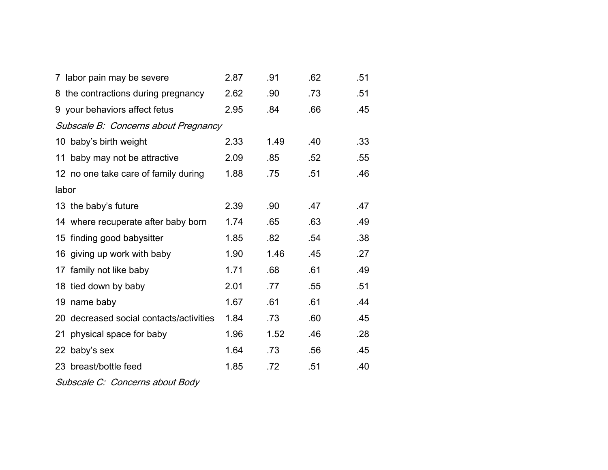|                                      | 7 labor pain may be severe              | 2.87 | .91  | .62 | .51 |  |  |
|--------------------------------------|-----------------------------------------|------|------|-----|-----|--|--|
|                                      | 8 the contractions during pregnancy     | 2.62 | .90  | .73 | .51 |  |  |
|                                      | 9 your behaviors affect fetus           | 2.95 | .84  | .66 | .45 |  |  |
| Subscale B: Concerns about Pregnancy |                                         |      |      |     |     |  |  |
|                                      | 10 baby's birth weight                  | 2.33 | 1.49 | .40 | .33 |  |  |
|                                      | 11 baby may not be attractive           | 2.09 | .85  | .52 | .55 |  |  |
|                                      | 12 no one take care of family during    | 1.88 | .75  | .51 | .46 |  |  |
| labor                                |                                         |      |      |     |     |  |  |
|                                      | 13 the baby's future                    | 2.39 | .90  | .47 | .47 |  |  |
|                                      | 14 where recuperate after baby born     | 1.74 | .65  | .63 | .49 |  |  |
|                                      | 15 finding good babysitter              | 1.85 | .82  | .54 | .38 |  |  |
|                                      | 16 giving up work with baby             | 1.90 | 1.46 | .45 | .27 |  |  |
|                                      | 17 family not like baby                 | 1.71 | .68  | .61 | .49 |  |  |
|                                      | 18 tied down by baby                    | 2.01 | .77  | .55 | .51 |  |  |
| 19                                   | name baby                               | 1.67 | .61  | .61 | .44 |  |  |
|                                      | 20 decreased social contacts/activities | 1.84 | .73  | .60 | .45 |  |  |
|                                      | 21 physical space for baby              | 1.96 | 1.52 | .46 | .28 |  |  |
|                                      | 22 baby's sex                           | 1.64 | .73  | .56 | .45 |  |  |
|                                      | 23 breast/bottle feed                   | 1.85 | .72  | .51 | .40 |  |  |
|                                      |                                         |      |      |     |     |  |  |

Subscale C: Concerns about Body